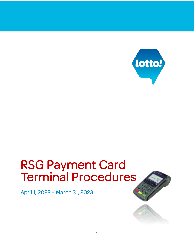

# RSG Payment Card Terminal Procedures

April 1, 2022 – March 31, 2023

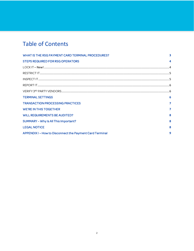# **Table of Contents**

| WHAT IS THE RSG PAYMENT CARD TERMINAL PROCEDURES?        |   |
|----------------------------------------------------------|---|
| <b>STEPS REQUIRED FOR RSG OPERATORS</b>                  | Δ |
|                                                          |   |
|                                                          |   |
|                                                          |   |
|                                                          |   |
|                                                          |   |
| <b>TERMINAL SETTINGS</b>                                 | 6 |
| <b>TRANSACTION PROCESSING PRACTICES</b>                  | 7 |
| <b>WE'RE IN THIS TOGETHER</b>                            | 7 |
| <b>WILL REQUIREMENTS BE AUDITED?</b>                     | 8 |
| SUMMARY - Why Is All This Important?                     | 8 |
| <b>LEGAL NOTICE</b>                                      | 8 |
| APPENDIX I - How to Disconnect the Payment Card Terminal | q |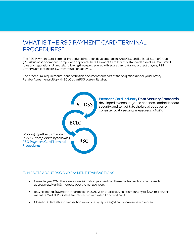### <span id="page-2-0"></span>WHAT IS THE RSG PAYMENT CARD TERMINAL PROCEDURES?

The RSG Payment Card Terminal Procedures has been developed to ensure BCLC and its Retail Stores Group (RSG) business operations comply with applicable laws, Payment Card Industry standards as well as Card Brand rules and regulations. Ultimately, following these procedures will secure card data and protect players, RSG Lottery Retailers and BCLC from fraudulent activity.

The procedural requirements identified in this document form part of the obligations under your Lottery Retailer Agreement (LRA) with BCLC as an RSG Lottery Retailer.



#### FUN FACTS ABOUT RSG AND PAYMENT TRANSACTIONS

- Calendar year 2021 there were over 4.6 million payment card terminal transactions processed approximately a 40% increase over the last two years.
- RSG exceeded \$96 million in card sales in 2021. With total lottery sales amounting to \$264 million, this means 36% of all RSG sales are transacted with a debit or credit card.
- Close to 80% of all card transactions are done by tap a significant increase year over year.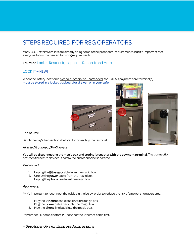# <span id="page-3-0"></span>STEPS REQUIRED FOR RSG OPERATORS

Many RSG Lottery Retailers are already doing some of the procedural requirements, but it's important that everyone follow the new and existing requirements.

You must: Lock It, Restrict It, Inspect It, Report It and More.

#### <span id="page-3-1"></span>LOCK IT – NEW!

When the lottery location is closed or otherwise unattended, the iCT250 payment card terminal(s) must be stored in a locked cupboard or drawer; or in your safe.



#### End of Day:

Batch the day's transactions before disconnecting the terminal.

#### How to Disconnect/Re-Connect

You will be disconnecting the magic box and storing it together with the payment terminal. The connection between these two devices is hardwired and cannot be separated.

#### Disconnect:

- 1. Unplug the Ethernet cable from the magic box.
- 2. Unplug the **power** cable from the magic box.
- 3. Unplug the **phone** line from the magic box.

#### Reconnect:

\*\*\*It's important to reconnect the cables in the below order to reduce the risk of a power shortage/surge.

- 1. Plug the **Ethernet** cable back into the magic box
- 2. Plug the power cable back into the magic box.
- 3. Plug the **phone** line back into the magic box.

Remember- E comes before P – connect the Ethernet cable first.

#### – See Appendix I for illustrated instructions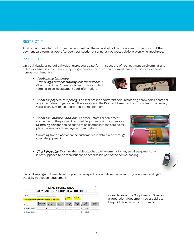#### <span id="page-4-0"></span>RESTRICT IT

At all other times when not in use, the payment card terminal shall not be in easy reach of patrons. Pull the payment card terminal back after every transaction ensuring it's not accessible by players when not in use.

#### <span id="page-4-1"></span>INSPECT IT

On a daily basis, as part of daily closing procedures, perform inspections of your payment card terminal and cables for signs of substitution, tampering or connection of an unauthorized terminal. This includes serial number confirmation.

• Verify the serial number  $-$  the 8-digit number starting with the number 8. Check that it hasn't been switched for a fraudulent terminal to collect payment card information.



**IN B** 

- Check for physical tampering. Look for broken or different coloured casing, screw holes, seams or any external markings. Inspect the area around the Payment Terminal. Look for holes in the ceiling, walls, or shelves that could conceal a small camera.
- Check for unfamiliar add-ons. Look for unfamiliar equipment connected to the payment terminal(ie. pin pad, skimming devices. Skimming devices can be added to or inserted into the card cover plate to illegally capture payment card details.

Skimming takes place when the customer card data is read through special equipment.

**Check the cable.** Examine the cable attached to the terminal for any small equipment that is not supposed to be there but can appear like it is part of the normal cabling.



Record keeping is not mandated for your daily inspections; audits will be based on your understanding of the daily inspection requirement.

|                                                    | <b>DAILY CASHOUT/RECONCILIATION SHEET</b> |   | <b>RETAIL STORES GROUP</b> |   |                |   |                                |                |                               |   |               |          |               |  |
|----------------------------------------------------|-------------------------------------------|---|----------------------------|---|----------------|---|--------------------------------|----------------|-------------------------------|---|---------------|----------|---------------|--|
| DATE:                                              |                                           |   |                            |   |                |   |                                |                |                               |   |               |          |               |  |
|                                                    |                                           |   |                            |   |                |   | Cables                         |                | Serial #                      |   |               |          |               |  |
| Payment Terminal checked and no signs of tampering |                                           |   |                            |   |                |   |                                |                |                               |   |               |          |               |  |
|                                                    |                                           |   |                            |   |                |   |                                |                |                               |   |               |          |               |  |
|                                                    |                                           |   |                            |   |                |   |                                |                |                               |   |               |          |               |  |
| Product                                            | <b>Beginning</b><br>Inventory             | ۰ | <b>Purchases</b>           | ٠ | <b>Returns</b> |   | <b>Ending</b><br>$Inventorv =$ |                | <b>Tickets</b><br><b>Sold</b> | Q | Unit<br>Price | $\equiv$ | Value<br>Sold |  |
| \$1 Scratch & Win                                  |                                           | ۰ |                            | ٠ |                | ٠ |                                | $\blacksquare$ |                               | ۵ | $$1.00 =$     |          |               |  |

Consider using the *[Daily Cashout](https://www.bclcretailerhub.com/scratch-and-win/planograms-and-forms.html) [Sheet](https://www.bclcretailerhub.com/scratch-and-win/planograms-and-forms.html)* or an operational document you use daily to keep PCI requirements top of mind.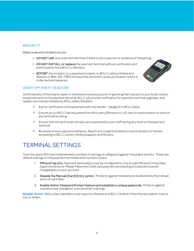#### <span id="page-5-0"></span>REPORT IT

When a security incident occurs:

- DO NOT USE your payment terminal if there is any suspicion or evidence of tampering.
- DO NOT INSTALL or replace the payment terminal without verification and authorization from BCLC or Moneris.
- REPORT the incident, or suspected incident, to BCLC Lottery Hotline and Moneris (1-866-319-7450) and put that terminal in a secure location until it is collected and replaced.



#### <span id="page-5-1"></span>VERIFY 3RD PARTY VENDORS

Verify identity of third party repair or maintenance persons prior to granting them access to your kiosk, lottery equipment and to the payment terminal. BCLC will provide notification for payment terminal upgrades; and repairs can only be initiated by RSG Lottery Retailers.

- $\checkmark$  Ask for verification of employment with the Vendor badge ID or BCLC letter.
- $\checkmark$  Ensure you or BCLC has requested the third-party (Moneris or LVI) visit for authorization to work on any terminal or wiring.
- $\checkmark$  Ensure that the technician remains accompanied by your staff during any work on the payment terminal.
- $\checkmark$  Be aware of any suspicious behavior. Report any suspicious behavior and indication of device tampering to BCLC Lottery Hotline Support and Moneris.

### <span id="page-5-2"></span>TERMINAL SETTINGS

Over the years, RSG has implemented a number of settings to safeguard against fraudulent activity. These are *default* settings on the payment terminals and must be in place.

- 1. PIN and Tap only. Payment terminal(s) must be configured to only accept PIN and Contactless (tap) transactions. Please follow the credit card payment processing procedures to avoid chargebacks to your account.
- 2. Disable the Manual (Card) Entry option. Protects against transactions facilitated by the manual entry of card data.
- 3. Enable Admin Password Protect feature and establish a unique passcode. Protects against unauthorized changes to your terminal's settings.

Retailer Action: RSG Lottery Retailers must report to Moneris and BCLC Hotline if their Moneris Admin Card is lost or stolen.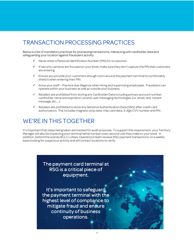# <span id="page-6-0"></span>TRANSACTION PROCESSING PRACTICES

Below is a list of mandatory practices for processing transactions, interacting with cardholder data and safeguarding your location against fraudulent activity:

- $\checkmark$  Never enter a Personal Identification Number (PIN) for a customer.
- $\checkmark$  If security cameras are focused on your kiosk, make sure they don't capture the PIN that customers are entering
- $\checkmark$  Ensure you provide your customers enough room around the payment terminal to comfortably shield it when entering their PIN.
- $\checkmark$  Know your staff Practice due diligence when hiring and supervising employees. Fraudsters can operate within your business as well as outside your business.
- $\checkmark$  Retailers are prohibited from storing any Cardholder Data including primary account number, cardholder name and expiration via end-user messaging technologies (i.e. email, text, instant message, etc.…).
- Retailers are prohibited to store any Sensitive Authentication Data (SAD) after credit card authorization. This includes magnetic strip data, chip card data, 3-digit CVV number and PIN.

### <span id="page-6-1"></span>WE'RE IN THIS TOGETHER

It's important that steps being taken are tracked for audit purposes. To support this requirement, your Territory Manager will also be inspecting your terminal serial number every second visitthey make to your kiosk. In addition, behind the scenes BCLC Lottery Operations team reviews RSG payment transactions on a weekly basis looking for suspicious activity and will contact locations to verify.

> The payment card terminal at RSG is a critical piece of equipment.

> It's important to safeguard the payment terminal with the highest level of compliance to mitigate fraud and ensure continuity of business operations.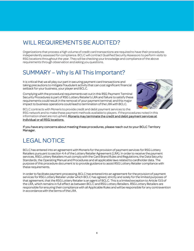# <span id="page-7-0"></span>WILL REQUIREMENTS BE AUDITED?

Organizations that process a high volume of credit card transactions are required to have their procedures independently assessed for compliance. BCLC will contract Qualified Security Assessors to perform visits to RSG locations throughout the year. They will be checking your knowledge and compliance of the above requirements through observation and asking you questions.

# <span id="page-7-1"></span>SUMMARY – Why Is All This Important?

It is critical that we all play our part in securing payment card transactions and taking precautions to mitigate fraudulent activity that can cost significant financial setback for your business, your player and BCLC.

Complying with the procedural requirements set out in this RSG Payment Terminal Security Procedures is part of RSG Lottery Retailer's LRA and failure to satisfy these requirements could result in the removal of your payment terminal; and this major impact to business operations could lead to termination of the LRAwith BCLC.



BCLC contracts with Moneris to provide credit and debit payment services to the RSG network and to make these payment methods available to players. If the procedures noted in this information sheet are not upheld, Moneris may terminate the credit and debit payment services at individual or all RSG locations.

If you have any concerns about meeting these procedures, please reach out to your BCLC Territory Manager.

# <span id="page-7-2"></span>LEGALNOTICE

BCLC has entered into an agreement with Moneris for the provision of payment services for RSG Lottery Retailers pursuant to section 4.4 of the Lottery Retailer Agreement (LRA). In order to receive the payment services, RSG Lottery Retailers must comply with the Card Brand Rules and Regulations, the Data Security Standards, the Operating Manual and Procedures and all applicable laws related to cardholder data. The purpose of this procedure document is to provide guidance to assist RSG Lottery Retailer compliance with these requirements.

In order to facilitate payment processing, BCLC has entered into an agreement for the provision of payment services for RSG Lottery Retailer under which BCLC has agreed, strictly and solely for the limited purposes of that agreement, that the RSG Lottery Retaileris an agent of BCLC. This is a limited exception to Article 13.5 of the LRA, which remains in full effect as between BCLC and RSG Lottery Retailers. RSG Lottery Retailers are responsible for ensuring their compliance with all Applicable Rules and will be responsible for any contravention in accordance with the terms of the LRA.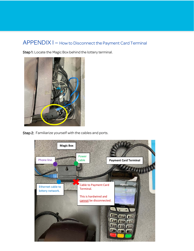### <span id="page-8-0"></span>APPENDIX I – How to Disconnect the Payment Card Terminal

Step 1: Locate the Magic Box behind the lottery terminal.



Step 2: Familiarize yourself with the cables and ports.

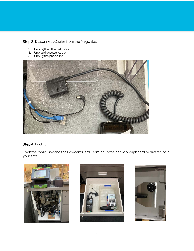#### Step 3: Disconnect Cables from the Magic Box

- 1. Unplug the Ethernet cable.
- 2. Unplug the power cable.
- 3. Unplug the phone line.



#### Step 4: Lock It!

Lock the Magic Box and the Payment Card Terminal in the network cupboard or drawer; or in your safe.